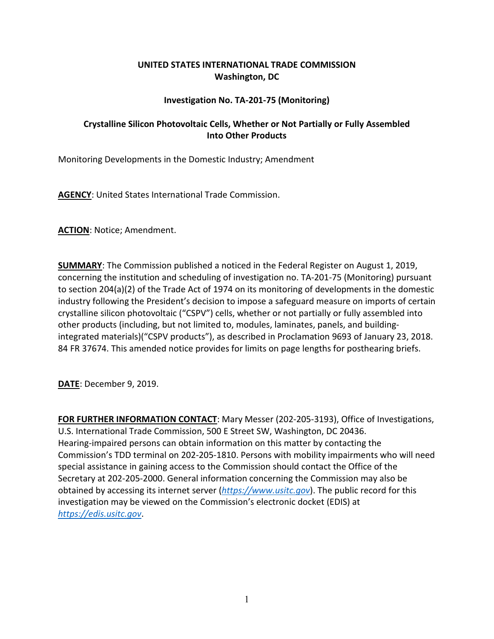## **UNITED STATES INTERNATIONAL TRADE COMMISSION Washington, DC**

## **Investigation No. TA-201-75 (Monitoring)**

## **Crystalline Silicon Photovoltaic Cells, Whether or Not Partially or Fully Assembled Into Other Products**

Monitoring Developments in the Domestic Industry; Amendment

**AGENCY**: United States International Trade Commission.

**ACTION**: Notice; Amendment.

**SUMMARY**: The Commission published a noticed in the Federal Register on August 1, 2019, concerning the institution and scheduling of investigation no. TA-201-75 (Monitoring) pursuant to section 204(a)(2) of the Trade Act of 1974 on its monitoring of developments in the domestic industry following the President's decision to impose a safeguard measure on imports of certain crystalline silicon photovoltaic ("CSPV") cells, whether or not partially or fully assembled into other products (including, but not limited to, modules, laminates, panels, and buildingintegrated materials)("CSPV products"), as described in Proclamation 9693 of January 23, 2018. 84 FR 37674. This amended notice provides for limits on page lengths for posthearing briefs.

**DATE**: December 9, 2019.

**FOR FURTHER INFORMATION CONTACT**: Mary Messer (202-205-3193), Office of Investigations, U.S. International Trade Commission, 500 E Street SW, Washington, DC 20436. Hearing-impaired persons can obtain information on this matter by contacting the Commission's TDD terminal on 202-205-1810. Persons with mobility impairments who will need special assistance in gaining access to the Commission should contact the Office of the Secretary at 202-205-2000. General information concerning the Commission may also be obtained by accessing its internet server (*[https://www.usitc.gov](https://www.usitc.gov/)*). The public record for this investigation may be viewed on the Commission's electronic docket (EDIS) at *[https://edis.usitc.gov](https://edis.usitc.gov/)*.